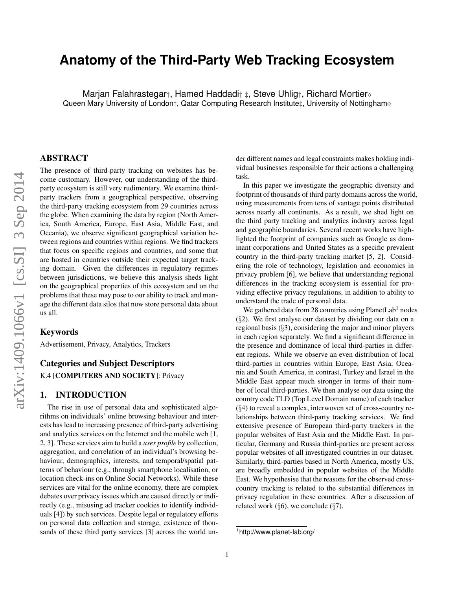# **Anatomy of the Third-Party Web Tracking Ecosystem**

Marjan Falahrastegar†, Hamed Haddadi† ‡, Steve Uhlig†, Richard Mortier Queen Mary University of London†, Qatar Computing Research Institute±, University of Nottingham⊗

## ABSTRACT

The presence of third-party tracking on websites has become customary. However, our understanding of the thirdparty ecosystem is still very rudimentary. We examine thirdparty trackers from a geographical perspective, observing the third-party tracking ecosystem from 29 countries across the globe. When examining the data by region (North America, South America, Europe, East Asia, Middle East, and Oceania), we observe significant geographical variation between regions and countries within regions. We find trackers that focus on specific regions and countries, and some that are hosted in countries outside their expected target tracking domain. Given the differences in regulatory regimes between jurisdictions, we believe this analysis sheds light on the geographical properties of this ecosystem and on the problems that these may pose to our ability to track and manage the different data silos that now store personal data about us all.

#### Keywords

Advertisement, Privacy, Analytics, Trackers

#### Categories and Subject Descriptors

K.4 [COMPUTERS AND SOCIETY]: Privacy

## 1. INTRODUCTION

The rise in use of personal data and sophisticated algorithms on individuals' online browsing behaviour and interests has lead to increasing presence of third-party advertising and analytics services on the Internet and the mobile web [1, 2, 3]. These services aim to build a *user profile* by collection, aggregation, and correlation of an individual's browsing behaviour, demographics, interests, and temporal/spatial patterns of behaviour (e.g., through smartphone localisation, or location check-ins on Online Social Networks). While these services are vital for the online economy, there are complex debates over privacy issues which are caused directly or indirectly (e.g., misusing ad tracker cookies to identify individuals [4]) by such services. Despite legal or regulatory efforts on personal data collection and storage, existence of thousands of these third party services [3] across the world under different names and legal constraints makes holding individual businesses responsible for their actions a challenging task.

In this paper we investigate the geographic diversity and footprint of thousands of third party domains across the world, using measurements from tens of vantage points distributed across nearly all continents. As a result, we shed light on the third party tracking and analytics industry across legal and geographic boundaries. Several recent works have highlighted the footprint of companies such as Google as dominant corporations and United States as a specific prevalent country in the third-party tracking market [5, 2]. Considering the role of technology, legislation and economics in privacy problem [6], we believe that understanding regional differences in the tracking ecosystem is essential for providing effective privacy regulations, in addition to ability to understand the trade of personal data.

We gathered data from 28 countries using PlanetLab<sup>1</sup> nodes (§2). We first analyse our dataset by dividing our data on a regional basis (§3), considering the major and minor players in each region separately. We find a significant difference in the presence and dominance of local third-parties in different regions. While we observe an even distribution of local third-parties in countries within Europe, East Asia, Oceania and South America, in contrast, Turkey and Israel in the Middle East appear much stronger in terms of their number of local third-parties. We then analyse our data using the country code TLD (Top Level Domain name) of each tracker (§4) to reveal a complex, interwoven set of cross-country relationships between third-party tracking services. We find extensive presence of European third-party trackers in the popular websites of East Asia and the Middle East. In particular, Germany and Russia third-parties are present across popular websites of all investigated countries in our dataset. Similarly, third-parties based in North America, mostly US, are broadly embedded in popular websites of the Middle East. We hypothesise that the reasons for the observed crosscountry tracking is related to the substantial differences in privacy regulation in these countries. After a discussion of related work ( $\S6$ ), we conclude ( $\S7$ ).

<sup>1</sup> http://www.planet-lab.org/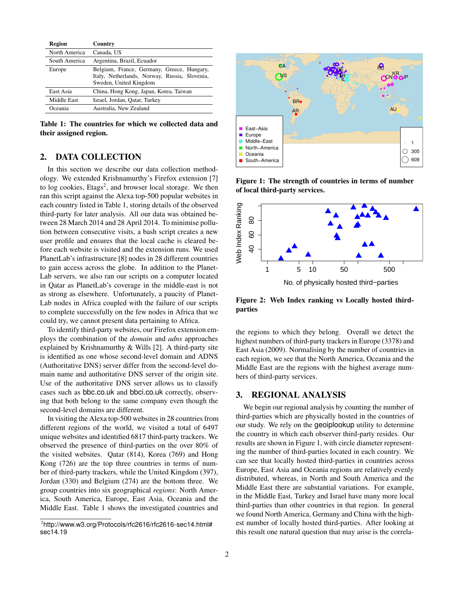| Region        | Country                                                                                                               |
|---------------|-----------------------------------------------------------------------------------------------------------------------|
| North America | Canada, US                                                                                                            |
| South America | Argentina, Brazil, Ecuador                                                                                            |
| Europe        | Belgium, France, Germany, Greece, Hungary,<br>Italy, Netherlands, Norway, Russia, Slovenia,<br>Sweden, United Kingdom |
| East Asia     | China, Hong Kong, Japan, Korea, Taiwan                                                                                |
| Middle East   | Israel, Jordan, Qatar, Turkey                                                                                         |
| Oceania       | Australia, New Zealand                                                                                                |

Table 1: The countries for which we collected data and their assigned region.

## 2. DATA COLLECTION

In this section we describe our data collection methodology. We extended Krishnamurthy's Firefox extension [7] to log cookies,  $Etags^2$ , and browser local storage. We then ran this script against the Alexa top-500 popular websites in each country listed in Table 1, storing details of the observed third-party for later analysis. All our data was obtained between 28 March 2014 and 28 April 2014. To minimise pollution between consecutive visits, a bash script creates a new user profile and ensures that the local cache is cleared before each website is visited and the extension runs. We used PlanetLab's infrastructure [8] nodes in 28 different countries to gain access across the globe. In addition to the Planet-Lab servers, we also ran our scripts on a computer located in Qatar as PlanetLab's coverage in the middle-east is not as strong as elsewhere. Unfortunately, a paucity of Planet-Lab nodes in Africa coupled with the failure of our scripts to complete successfully on the few nodes in Africa that we could try, we cannot present data pertaining to Africa. 2. DATA COLLECTION<br>
1. a some seculo we describe the same of the same of the same of the same<br>
The interaction media of the same of the same of the same of the same of the same of the same of the same of the same of the s

To identify third-party websites, our Firefox extension employs the combination of the *domain* and *adns* approaches explained by Krishnamurthy & Wills [2]. A third-party site is identified as one whose second-level domain and ADNS (Authoritative DNS) server differ from the second-level domain name and authoritative DNS server of the origin site. Use of the authoritative DNS server allows us to classify cases such as bbc.co.uk and bbci.co.uk correctly, observing that both belong to the same company even though the second-level domains are different.

In visiting the Alexa top-500 websites in 28 countries from different regions of the world, we visited a total of 6497 unique websites and identified 6817 third-party trackers. We observed the presence of third-parties on the over 80% of the visited websites. Qatar (814), Korea (769) and Hong Kong (726) are the top three countries in terms of number of third-party trackers, while the United Kingdom (397), Jordan (330) and Belgium (274) are the bottom three. We group countries into six geographical *regions*: North America, South America, Europe, East Asia, Oceania and the Middle East. Table 1 shows the investigated countries and



Figure 1: The strength of countries in terms of number of local third-party services.



Figure 2: Web Index ranking vs Locally hosted thirdparties

the regions to which they belong. Overall we detect the highest numbers of third-party trackers in Europe (3378) and East Asia (2009). Normalising by the number of countries in each region, we see that the North America, Oceania and the Middle East are the regions with the highest average numbers of third-party services.

## 3. REGIONAL ANALYSIS

We begin our regional analysis by counting the number of third-parties which are physically hosted in the countries of our study. We rely on the geoiplookup utility to determine the country in which each observer third-party resides. Our results are shown in Figure 1, with circle diameter representing the number of third-parties located in each country. We can see that locally hosted third-parties in countries across Europe, East Asia and Oceania regions are relatively evenly distributed, whereas, in North and South America and the Middle East there are substantial variations. For example, in the Middle East, Turkey and Israel have many more local third-parties than other countries in that region. In general we found North America, Germany and China with the highest number of locally hosted third-parties. After looking at this result one natural question that may arise is the correla-

<sup>2</sup> http://www.w3.org/Protocols/rfc2616/rfc2616-sec14.html#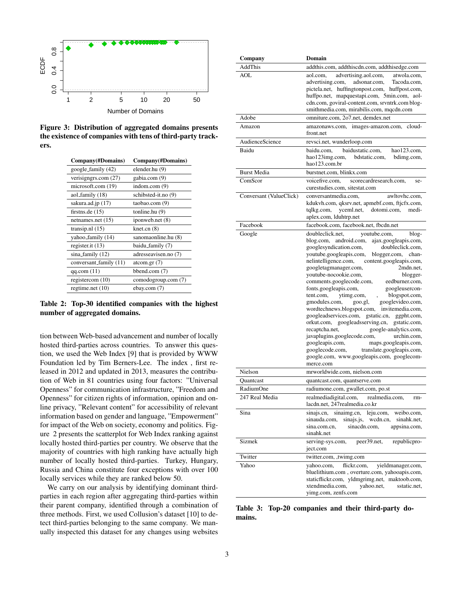

Figure 3: Distribution of aggregated domains presents the existence of companies with tens of third-party trackers.

| Company(#Domains)      | Company(#Domains)    |
|------------------------|----------------------|
| google_family (42)     | elender.hu (9)       |
| verisigngrs.com (27)   | gabia.com (9)        |
| microsoft.com (19)     | indom.com $(9)$      |
| aol_family (18)        | schibsted-it.no (9)  |
| sakura.ad.jp (17)      | taobao.com (9)       |
| firstns.de $(15)$      | tonline.hu (9)       |
| netnames.net (15)      | iponweb.net (8)      |
| transip.nl (15)        | knet cn(8)           |
| yahoo_family (14)      | sanomaonline.hu (8)  |
| register.it $(13)$     | baidu_family (7)     |
| sina_family (12)       | adresseavisen.no (7) |
| conversant_family (11) | atcom.gr $(7)$       |
| qq.com(11)             | bbend.com (7)        |
| registercom $(10)$     | comodogroup.com (7)  |
| regtime.net $(10)$     | ebay.com (7)         |
|                        |                      |

Table 2: Top-30 identified companies with the highest number of aggregated domains.

tion between Web-based advancement and number of locally hosted third-parties across countries. To answer this question, we used the Web Index [9] that is provided by WWW Foundation led by Tim Berners-Lee. The index , first released in 2012 and updated in 2013, measures the contribution of Web in 81 countries using four factors: "Universal Openness" for communication infrastructure, "Freedom and Openness" for citizen rights of information, opinion and online privacy, "Relevant content" for accessibility of relevant information based on gender and language, "Empowerment" for impact of the Web on society, economy and politics. Figure 2 presents the scatterplot for Web Index ranking against locally hosted third-parties per country. We observe that the majority of countries with high ranking have actually high number of locally hosted third-parties. Turkey, Hungary, Russia and China constitute four exceptions with over 100 locally services while they are ranked below 50.

We carry on our analysis by identifying dominant thirdparties in each region after aggregating third-parties within their parent company, identified through a combination of three methods. First, we used Collusion's dataset [10] to detect third-parties belonging to the same company. We manually inspected this dataset for any changes using websites

| Company                 | Domain                                                                                                                                                                                                                                                                                                                                                                                                                                                                                                                                                                                                                                                                                                                                                                                                                                                                                                                                         |  |  |  |  |
|-------------------------|------------------------------------------------------------------------------------------------------------------------------------------------------------------------------------------------------------------------------------------------------------------------------------------------------------------------------------------------------------------------------------------------------------------------------------------------------------------------------------------------------------------------------------------------------------------------------------------------------------------------------------------------------------------------------------------------------------------------------------------------------------------------------------------------------------------------------------------------------------------------------------------------------------------------------------------------|--|--|--|--|
| AddThis                 | addthis.com, addthiscdn.com, addthisedge.com                                                                                                                                                                                                                                                                                                                                                                                                                                                                                                                                                                                                                                                                                                                                                                                                                                                                                                   |  |  |  |  |
| AOL                     | aol.com.<br>advertising.aol.com,<br>atwola.com,<br>advertising.com,<br>adsonar.com,<br>Tacoda.com,<br>pictela.net, huffingtonpost.com, huffpost.com,<br>huffpo.net, mapquestapi.com, 5min.com, aol-<br>cdn.com, goviral-content.com, srvntrk.com blog-<br>smithmedia.com, mirabilis.com, mqcdn.com                                                                                                                                                                                                                                                                                                                                                                                                                                                                                                                                                                                                                                             |  |  |  |  |
| Adobe                   | omniture.com, 2o7.net, demdex.net                                                                                                                                                                                                                                                                                                                                                                                                                                                                                                                                                                                                                                                                                                                                                                                                                                                                                                              |  |  |  |  |
| Amazon                  | cloud-<br>amazonaws.com, images-amazon.com,<br>front.net                                                                                                                                                                                                                                                                                                                                                                                                                                                                                                                                                                                                                                                                                                                                                                                                                                                                                       |  |  |  |  |
| AudienceScience         | revsci.net, wunderloop.com                                                                                                                                                                                                                                                                                                                                                                                                                                                                                                                                                                                                                                                                                                                                                                                                                                                                                                                     |  |  |  |  |
| Baidu                   | baidustatic.com,<br>hao123.com,<br>baidu.com,<br>hao123img.com,<br>bdstatic.com,<br>bdimg.com,<br>hao123.com.br                                                                                                                                                                                                                                                                                                                                                                                                                                                                                                                                                                                                                                                                                                                                                                                                                                |  |  |  |  |
| <b>Burst Media</b>      | burstnet.com, blinkx.com                                                                                                                                                                                                                                                                                                                                                                                                                                                                                                                                                                                                                                                                                                                                                                                                                                                                                                                       |  |  |  |  |
| ComScor                 | scorecardresearch.com,<br>voicefive.com,<br>se-<br>curestudies.com, sitestat.com                                                                                                                                                                                                                                                                                                                                                                                                                                                                                                                                                                                                                                                                                                                                                                                                                                                               |  |  |  |  |
| Conversant (ValueClick) | conversantmedia.com,<br>awltovhc.com,<br>kdukvh.com, qksrv.net, apmebf.com, ftjcfx.com,<br>tqlkg.com, yceml.net,<br>dotomi.com,<br>medi-<br>aplex.com, lduhtrp.net                                                                                                                                                                                                                                                                                                                                                                                                                                                                                                                                                                                                                                                                                                                                                                             |  |  |  |  |
| Facebook                | facebook.com, facebook.net, fbcdn.net                                                                                                                                                                                                                                                                                                                                                                                                                                                                                                                                                                                                                                                                                                                                                                                                                                                                                                          |  |  |  |  |
| Google<br>Nielson       | doubleclick.net.<br>youtube.com,<br>blog-<br>blog.com, android.com,<br>ajax.googleapis.com,<br>googlesyndication.com,<br>doubleclick.com,<br>youtube.googleapis.com,<br>blogger.com, chan-<br>nelintelligence.com,<br>content.googleapis.com,<br>googletagmanager.com,<br>2mdn.net.<br>youtube-nocookie.com,<br>blogger-<br>comments.googlecode.com,<br>eedburner.com,<br>fonts.googleapis.com,<br>googleusercon-<br>blogspot.com,<br>tent.com,<br>ytimg.com,<br>gmodules.com,<br>goo.gl,<br>googlevideo.com,<br>wordtechnews.blogspot.com, invitemedia.com,<br>googleadservices.com, gstatic.cn, ggpht.com,<br>orkut.com, googleadsserving.cn,<br>gstatic.com,<br>recaptcha.net,<br>google-analytics.com,<br>javaplugins.googlecode.com,<br>urchin.com,<br>googleapis.com,<br>maps.googleapis.com,<br>translate.googleapis.com,<br>googlecode.com,<br>google.com, www.googleapis.com, googlecom-<br>merce.com<br>mrworldwide.com, nielson.com |  |  |  |  |
|                         |                                                                                                                                                                                                                                                                                                                                                                                                                                                                                                                                                                                                                                                                                                                                                                                                                                                                                                                                                |  |  |  |  |
| Quantcast<br>RadiumOne  | quantcast.com, quantserve.com<br>radiumone.com, gwallet.com, po.st                                                                                                                                                                                                                                                                                                                                                                                                                                                                                                                                                                                                                                                                                                                                                                                                                                                                             |  |  |  |  |
| 247 Real Media          | realmediadigital.com,<br>realmedia.com,<br>rm-<br>lacdn.net, 247realmedia.co.kr                                                                                                                                                                                                                                                                                                                                                                                                                                                                                                                                                                                                                                                                                                                                                                                                                                                                |  |  |  |  |
| Sina                    | sinaimg.cn,<br>leju.com,<br>weibo.com,<br>sinajs.cn,<br>sinauda.com,<br>sinajs.js, wedn.cn,<br>sinahk.net,<br>sina.com.cn,<br>sinacdn.com,<br>appsina.com,<br>sinahk.net                                                                                                                                                                                                                                                                                                                                                                                                                                                                                                                                                                                                                                                                                                                                                                       |  |  |  |  |
| Sizmek                  | serving-sys.com,<br>peer39.net,<br>republicpro-<br>ject.com                                                                                                                                                                                                                                                                                                                                                                                                                                                                                                                                                                                                                                                                                                                                                                                                                                                                                    |  |  |  |  |
| Twitter                 | twitter.com, ,twimg.com                                                                                                                                                                                                                                                                                                                                                                                                                                                                                                                                                                                                                                                                                                                                                                                                                                                                                                                        |  |  |  |  |
| Yahoo                   | yahoo.com,<br>flickr.com,<br>yieldmanager.com,<br>bluelithium.com, overture.com, yahooapis.com,<br>staticflickr.com, yldmgrimg.net, maktoob.com,<br>xtendmedia.com,<br>sstatic.net,<br>yahoo.net,<br>yimg.com, zenfs.com                                                                                                                                                                                                                                                                                                                                                                                                                                                                                                                                                                                                                                                                                                                       |  |  |  |  |

Table 3: Top-20 companies and their third-party domains.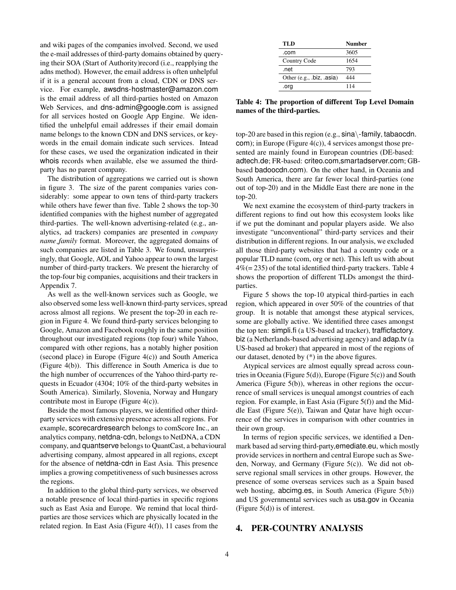and wiki pages of the companies involved. Second, we used the e-mail addresses of third-party domains obtained by querying their SOA (Start of Authority)record (i.e., reapplying the adns method). However, the email address is often unhelpful if it is a general account from a cloud, CDN or DNS service. For example, awsdns-hostmaster@amazon.com is the email address of all third-parties hosted on Amazon Web Services, and dns-admin@google.com is assigned for all services hosted on Google App Engine. We identified the unhelpful email addresses if their email domain name belongs to the known CDN and DNS services, or keywords in the email domain indicate such services. Intead for these cases, we used the organization indicated in their whois records when available, else we assumed the thirdparty has no parent company.

The distribution of aggregations we carried out is shown in figure 3. The size of the parent companies varies considerably: some appear to own tens of third-party trackers while others have fewer than five. Table 2 shows the top-30 identified companies with the highest number of aggregated third-parties. The well-known advertising-related (e.g., analytics, ad trackers) companies are presented in *company name family* format. Moreover, the aggregated domains of such companies are listed in Table 3. We found, unsurprisingly, that Google, AOL and Yahoo appear to own the largest number of third-party trackers. We present the hierarchy of the top-four big companies, acquisitions and their trackers in Appendix 7.

As well as the well-known services such as Google, we also observed some less well-known third-party services, spread across almost all regions. We present the top-20 in each region in Figure 4. We found third-party services belonging to Google, Amazon and Facebook roughly in the same position throughout our investigated regions (top four) while Yahoo, compared with other regions, has a notably higher position (second place) in Europe (Figure 4(c)) and South America (Figure 4(b)). This difference in South America is due to the high number of occurrences of the Yahoo third-party requests in Ecuador (4304; 10% of the third-party websites in South America). Similarly, Slovenia, Norway and Hungary contribute most in Europe (Figure 4(c)).

Beside the most famous players, we identified other thirdparty services with extensive presence across all regions. For example, scorecardresearch belongs to comScore Inc., an analytics company, netdna-cdn, belongs to NetDNA, a CDN company, and quantserve belongs to QuantCast, a behavioural advertising company, almost appeared in all regions, except for the absence of netdna-cdn in East Asia. This presence implies a growing competitiveness of such businesses across the regions.

In addition to the global third-party services, we observed a notable presence of local third-parties in specific regions such as East Asia and Europe. We remind that local thirdparties are those services which are physically located in the related region. In East Asia (Figure 4(f)), 11 cases from the

| TLD                       | <b>Number</b> |
|---------------------------|---------------|
| .com                      | 3605          |
| Country Code              | 1654          |
| .net                      | 793           |
| Other (e.g., .biz, .asia) | 444           |
| .org                      | 114           |

Table 4: The proportion of different Top Level Domain names of the third-parties.

top-20 are based in this region (e.g., sina\-family, tabaocdn. com); in Europe (Figure 4(c)), 4 services amongst those presented are mainly found in European countries (DE-based: adtech.de; FR-based: criteo.com,smartadserver.com; GBbased badoocdn.com). On the other hand, in Oceania and South America, there are far fewer local third-parties (one out of top-20) and in the Middle East there are none in the top-20.

We next examine the ecosystem of third-party trackers in different regions to find out how this ecosystem looks like if we put the dominant and popular players aside. We also investigate "unconventional" third-party services and their distribution in different regions. In our analysis, we excluded all those third-party websites that had a country code or a popular TLD name (com, org or net). This left us with about  $4\% (= 235)$  of the total identified third-party trackers. Table 4 shows the proportion of different TLDs amongst the thirdparties.

Figure 5 shows the top-10 atypical third-parties in each region, which appeared in over 50% of the countries of that group. It is notable that amongst these atypical services, some are globally active. We identified three cases amongst the top ten: simpli.fi (a US-based ad tracker), trafficfactory. biz (a Netherlands-based advertising agency) and adap.tv (a US-based ad broker) that appeared in most of the regions of our dataset, denoted by (\*) in the above figures.

Atypical services are almost equally spread across countries in Oceania (Figure 5(d)), Europe (Figure 5(c)) and South America (Figure 5(b)), whereas in other regions the occurrence of small services is unequal amongst countries of each region. For example, in East Asia (Figure 5(f)) and the Middle East (Figure 5(e)), Taiwan and Qatar have high occurrence of the services in comparison with other countries in their own group.

In terms of region specific services, we identified a Denmark based ad serving third-party,emediate.eu, which mostly provide services in northern and central Europe such as Sweden, Norway, and Germany (Figure 5(c)). We did not observe regional small services in other groups. However, the presence of some overseas services such as a Spain based web hosting, abcimg.es, in South America (Figure 5(b)) and US governmental services such as usa.gov in Oceania (Figure 5(d)) is of interest.

## 4. PER-COUNTRY ANALYSIS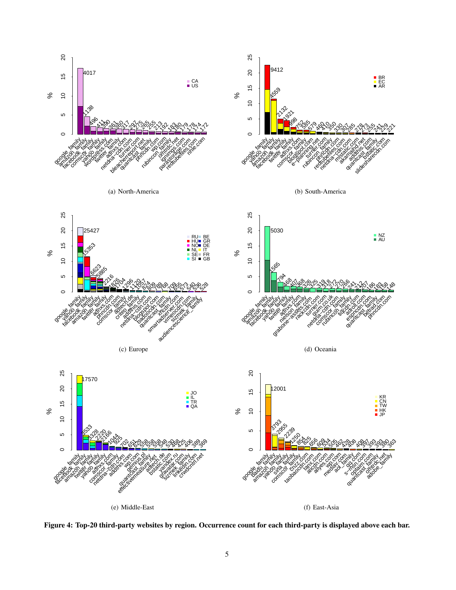

Figure 4: Top-20 third-party websites by region. Occurrence count for each third-party is displayed above each bar.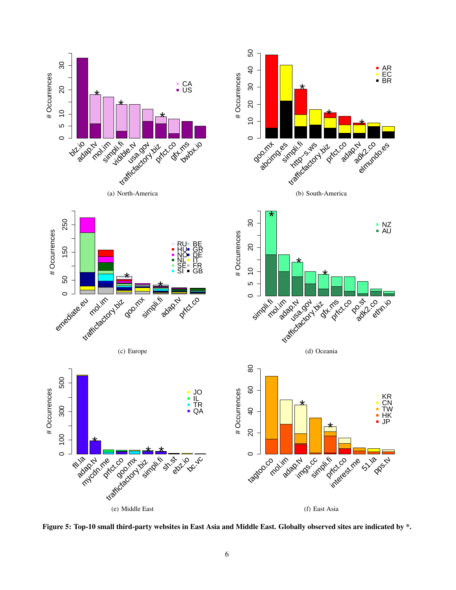

Figure 5: Top-10 small third-party websites in East Asia and Middle East. Globally observed sites are indicated by \*.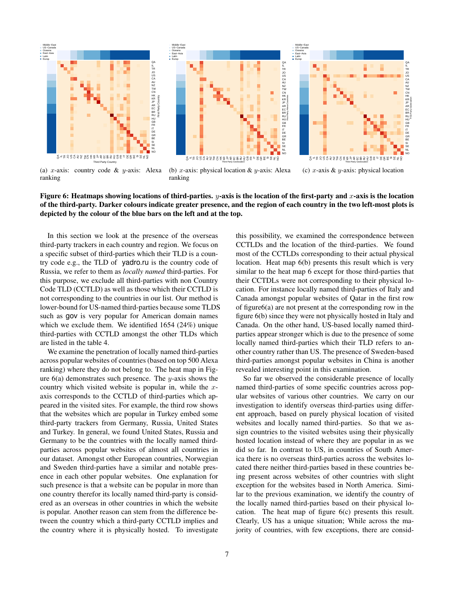

(a) x-axis: country code  $& y$ -axis: Alexa ranking

(b) x-axis: physical location  $&$  y-axis: Alexa ranking

(c)  $x$ -axis &  $y$ -axis: physical location

g NO NL SE

QALIRUO US CAU NZ TWO HK KR JP AR EC BR RU HG B FR IT DE GR BE SI

First Party Geolocation



In this section we look at the presence of the overseas third-party trackers in each country and region. We focus on a specific subset of third-parties which their TLD is a country code e.g., the TLD of yadro.ru is the country code of Russia, we refer to them as *locally named* third-parties. For this purpose, we exclude all third-parties with non Country Code TLD (CCTLD) as well as those which their CCTLD is not corresponding to the countries in our list. Our method is lower-bound for US-named third-parties because some TLDS such as gov is very popular for American domain names which we exclude them. We identified 1654 (24%) unique third-parties with CCTLD amongst the other TLDs which are listed in the table 4.

We examine the penetration of locally named third-parties across popular websites of countries (based on top 500 Alexa ranking) where they do not belong to. The heat map in Figure  $6(a)$  demonstrates such presence. The y-axis shows the country which visited website is popular in, while the  $x$ axis corresponds to the CCTLD of third-parties which appeared in the visited sites. For example, the third row shows that the websites which are popular in Turkey embed some third-party trackers from Germany, Russia, United States and Turkey. In general, we found United States, Russia and Germany to be the countries with the locally named thirdparties across popular websites of almost all countries in our dataset. Amongst other European countries, Norwegian and Sweden third-parties have a similar and notable presence in each other popular websites. One explanation for such presence is that a website can be popular in more than one country therefor its locally named third-party is considered as an overseas in other countries in which the website is popular. Another reason can stem from the difference between the country which a third-party CCTLD implies and the country where it is physically hosted. To investigate this possibility, we examined the correspondence between CCTLDs and the location of the third-parties. We found most of the CCTLDs corresponding to their actual physical location. Heat map 6(b) presents this result which is very similar to the heat map 6 except for those third-parties that their CCTDLs were not corresponding to their physical location. For instance locally named third-parties of Italy and Canada amongst popular websites of Qatar in the first row of figure6(a) are not present at the corresponding row in the figure 6(b) since they were not physically hosted in Italy and Canada. On the other hand, US-based locally named thirdparties appear stronger which is due to the presence of some locally named third-parties which their TLD refers to another country rather than US. The presence of Sweden-based third-parties amongst popular websites in China is another revealed interesting point in this examination.

So far we observed the considerable presence of locally named third-parties of some specific countries across popular websites of various other countries. We carry on our investigation to identify overseas third-parties using different approach, based on purely physical location of visited websites and locally named third-parties. So that we assign countries to the visited websites using their physically hosted location instead of where they are popular in as we did so far. In contrast to US, in countries of South America there is no overseas third-parties across the websites located there neither third-parties based in these countries being present across websites of other countries with slight exception for the websites based in North America. Similar to the previous examination, we identify the country of the locally named third-parties based on their physical location. The heat map of figure 6(c) presents this result. Clearly, US has a unique situation; While across the majority of countries, with few exceptions, there are consid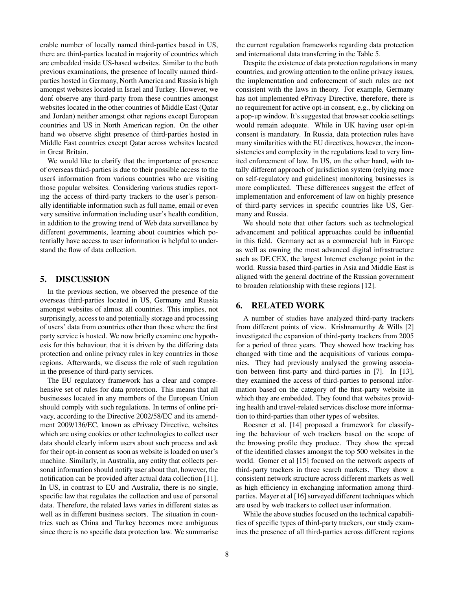erable number of locally named third-parties based in US, there are third-parties located in majority of countries which are embedded inside US-based websites. Similar to the both previous examinations, the presence of locally named thirdparties hosted in Germany, North America and Russia is high amongst websites located in Israel and Turkey. However, we dont observe any third-party from these countries amongst websites located in the other countries of Middle East (Qatar and Jordan) neither amongst other regions except European countries and US in North American region. On the other hand we observe slight presence of third-parties hosted in Middle East countries except Qatar across websites located in Great Britain.

We would like to clarify that the importance of presence of overseas third-parties is due to their possible access to the users information from various countries who are visiting those popular websites. Considering various studies reporting the access of third-party trackers to the user's personally identifiable information such as full name, email or even very sensitive information including user's health condition, in addition to the growing trend of Web data surveillance by different governments, learning about countries which potentially have access to user information is helpful to understand the flow of data collection.

## 5. DISCUSSION

In the previous section, we observed the presence of the overseas third-parties located in US, Germany and Russia amongst websites of almost all countries. This implies, not surprisingly, access to and potentially storage and processing of users' data from countries other than those where the first party service is hosted. We now briefly examine one hypothesis for this behaviour, that it is driven by the differing data protection and online privacy rules in key countries in those regions. Afterwards, we discuss the role of such regulation in the presence of third-party services.

The EU regulatory framework has a clear and comprehensive set of rules for data protection. This means that all businesses located in any members of the European Union should comply with such regulations. In terms of online privacy, according to the Directive 2002/58/EC and its amendment 2009/136/EC, known as ePrivacy Directive, websites which are using cookies or other technologies to collect user data should clearly inform users about such process and ask for their opt-in consent as soon as website is loaded on user's machine. Similarly, in Australia, any entity that collects personal information should notify user about that, however, the notification can be provided after actual data collection [11]. In US, in contrast to EU and Australia, there is no single, specific law that regulates the collection and use of personal data. Therefore, the related laws varies in different states as well as in different business sectors. The situation in countries such as China and Turkey becomes more ambiguous since there is no specific data protection law. We summarise

the current regulation frameworks regarding data protection and international data transferring in the Table 5.

Despite the existence of data protection regulations in many countries, and growing attention to the online privacy issues, the implementation and enforcement of such rules are not consistent with the laws in theory. For example, Germany has not implemented ePrivacy Directive, therefore, there is no requirement for active opt-in consent, e.g., by clicking on a pop-up window. It's suggested that browser cookie settings would remain adequate. While in UK having user opt-in consent is mandatory. In Russia, data protection rules have many similarities with the EU directives, however, the inconsistencies and complexity in the regulations lead to very limited enforcement of law. In US, on the other hand, with totally different approach of jurisdiction system (relying more on self-regulatory and guidelines) monitoring businesses is more complicated. These differences suggest the effect of implementation and enforcement of law on highly presence of third-party services in specific countries like US, Germany and Russia.

We should note that other factors such as technological advancement and political approaches could be influential in this field. Germany act as a commercial hub in Europe as well as owning the most advanced digital infrastructure such as DE.CEX, the largest Internet exchange point in the world. Russia based third-parties in Asia and Middle East is aligned with the general doctrine of the Russian government to broaden relationship with these regions [12].

#### 6. RELATED WORK

A number of studies have analyzed third-party trackers from different points of view. Krishnamurthy & Wills [2] investigated the expansion of third-party trackers from 2005 for a period of three years. They showed how tracking has changed with time and the acquisitions of various companies. They had previously analysed the growing association between first-party and third-parties in [7]. In [13], they examined the access of third-parties to personal information based on the category of the first-party website in which they are embedded. They found that websites providing health and travel-related services disclose more information to third-parties than other types of websites.

Roesner et al. [14] proposed a framework for classifying the behaviour of web trackers based on the scope of the browsing profile they produce. They show the spread of the identified classes amongst the top 500 websites in the world. Gomer et al [15] focused on the network aspects of third-party trackers in three search markets. They show a consistent network structure across different markets as well as high efficiency in exchanging information among thirdparties. Mayer et al [16] surveyed different techniques which are used by web trackers to collect user information.

While the above studies focused on the technical capabilities of specific types of third-party trackers, our study examines the presence of all third-parties across different regions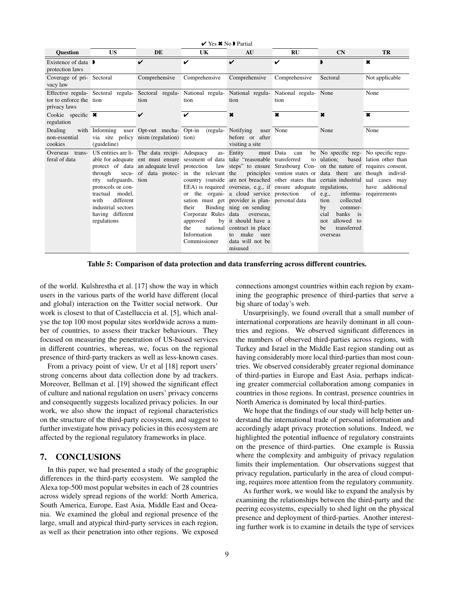| $\vee$ Yes $\star$ No Partial                       |                                                                                                                                                        |                                                                                                                                                                                                                                                                                                        |                                                                                        |                                                                                                                                                                                                                                                    |                                                                                                                                                                                                                                                   |                                                                                                                                                                                             |                                                            |
|-----------------------------------------------------|--------------------------------------------------------------------------------------------------------------------------------------------------------|--------------------------------------------------------------------------------------------------------------------------------------------------------------------------------------------------------------------------------------------------------------------------------------------------------|----------------------------------------------------------------------------------------|----------------------------------------------------------------------------------------------------------------------------------------------------------------------------------------------------------------------------------------------------|---------------------------------------------------------------------------------------------------------------------------------------------------------------------------------------------------------------------------------------------------|---------------------------------------------------------------------------------------------------------------------------------------------------------------------------------------------|------------------------------------------------------------|
| <b>Ouestion</b>                                     | <b>US</b>                                                                                                                                              | DE                                                                                                                                                                                                                                                                                                     | UK                                                                                     | AU                                                                                                                                                                                                                                                 | RU                                                                                                                                                                                                                                                | CN                                                                                                                                                                                          | <b>TR</b>                                                  |
| Existence of data $\blacksquare$<br>protection laws |                                                                                                                                                        | V                                                                                                                                                                                                                                                                                                      | ✓                                                                                      | ✓                                                                                                                                                                                                                                                  | ✓                                                                                                                                                                                                                                                 |                                                                                                                                                                                             | ×                                                          |
| Coverage of pri-Sectoral<br>vacy law                |                                                                                                                                                        | Comprehensive                                                                                                                                                                                                                                                                                          | Comprehensive                                                                          | Comprehensive                                                                                                                                                                                                                                      | Comprehensive                                                                                                                                                                                                                                     | Sectoral                                                                                                                                                                                    | Not applicable                                             |
| tor to enforce the tion<br>privacy laws             | Effective regula- Sectoral regula-                                                                                                                     | tion                                                                                                                                                                                                                                                                                                   | tion                                                                                   | tion                                                                                                                                                                                                                                               | Sectoral regula- National regula- National regula- National regula- None<br>tion                                                                                                                                                                  |                                                                                                                                                                                             | None                                                       |
| Cookie specific $\star$<br>regulation               |                                                                                                                                                        | $\boldsymbol{\nu}$                                                                                                                                                                                                                                                                                     | ✓                                                                                      | $\boldsymbol{\ast}$                                                                                                                                                                                                                                | $\boldsymbol{\ast}$                                                                                                                                                                                                                               | $\boldsymbol{\ast}$                                                                                                                                                                         | $\pmb{\times}$                                             |
| Dealing<br>non-essential<br>cookies                 | with Informing<br>(guideline)                                                                                                                          | user Opt-out mecha- Opt-in<br>via site policy nism (regulation)                                                                                                                                                                                                                                        | (regula-<br>tion)                                                                      | Notifying<br>before or after<br>visiting a site                                                                                                                                                                                                    | user None                                                                                                                                                                                                                                         | None                                                                                                                                                                                        | None                                                       |
| Overseas trans-<br>feral of data                    | through<br>rity safeguards, tion<br>protocols or con-<br>tractual model,<br>different<br>with<br>industrial sectors<br>having different<br>regulations | US entities are li- The data recipi- Adequacy<br>able for adequate ent must ensure sessment of data take "reasonable transferred"<br>protect of data an adequate level protection law steps" to ensure Strasbourg Con- on the nature of requires consent,<br>secu- of data protec- in the relevant the | as-<br>their<br>Corporate Rules data<br>approved<br>the<br>Information<br>Commissioner | Entity<br>or the organi- a cloud service protection<br>sation must get provider is plan- personal data<br>Binding ning on sending<br>overseas.<br>by it should have a<br>national contract in place<br>to make sure<br>data will not be<br>misused | must Data<br>can<br>to<br>principles vention states or data there are though individ-<br>country (outside are not breached other states that certain industrial ual cases may<br>EEA) is required overseas, e.g., if ensure adequate regulations, | be No specific reg- No specific regu-<br>ulation:<br>of $e.g.,$<br>informa-<br>collected<br>tion<br>by<br>commer-<br>banks is<br>cial<br>allowed to<br>not<br>transferred<br>be<br>overseas | based lation other than<br>have additional<br>requirements |

Table 5: Comparison of data protection and data transferring across different countries.

of the world. Kulshrestha et al. [17] show the way in which users in the various parts of the world have different (local and global) interaction on the Twitter social network. Our work is closest to that of Castelluccia et al. [5], which analyse the top 100 most popular sites worldwide across a number of countries, to assess their tracker behaviours. They focused on measuring the penetration of US-based services in different countries, whereas, we, focus on the regional presence of third-party trackers as well as less-known cases.

From a privacy point of view, Ur et al [18] report users' strong concerns about data collection done by ad trackers. Moreover, Bellman et al. [19] showed the significant effect of culture and national regulation on users' privacy concerns and consequently suggests localized privacy policies. In our work, we also show the impact of regional characteristics on the structure of the third-party ecosystem, and suggest to further investigate how privacy policies in this ecosystem are affected by the regional regulatory frameworks in place.

#### 7. CONCLUSIONS

In this paper, we had presented a study of the geographic differences in the third-party ecosystem. We sampled the Alexa top-500 most popular websites in each of 28 countries across widely spread regions of the world: North America, South America, Europe, East Asia, Middle East and Oceania. We examined the global and regional presence of the large, small and atypical third-party services in each region, as well as their penetration into other regions. We exposed connections amongst countries within each region by examining the geographic presence of third-parties that serve a big share of today's web.

Unsurprisingly, we found overall that a small number of international corporations are heavily dominant in all countries and regions. We observed significant differences in the numbers of observed third-parties across regions, with Turkey and Israel in the Middle East region standing out as having considerably more local third-parties than most countries. We observed considerably greater regional dominance of third-parties in Europe and East Asia, perhaps indicating greater commercial collaboration among companies in countries in those regions. In contrast, presence countries in North America is dominated by local third-parties.

We hope that the findings of our study will help better understand the international trade of personal information and accordingly adapt privacy protection solutions. Indeed, we highlighted the potential influence of regulatory constraints on the presence of third-parties. One example is Russia where the complexity and ambiguity of privacy regulation limits their implementation. Our observations suggest that privacy regulation, particularly in the area of cloud computing, requires more attention from the regulatory community.

As further work, we would like to expand the analysis by examining the relationships between the third-party and the peering ecosystems, especially to shed light on the physical presence and deployment of third-parties. Another interesting further work is to examine in details the type of services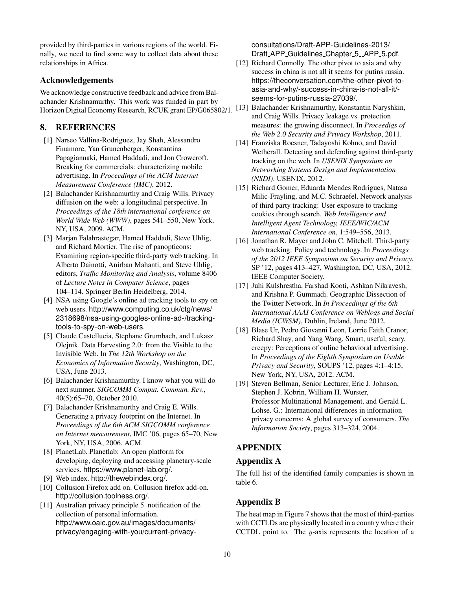provided by third-parties in various regions of the world. Finally, we need to find some way to collect data about these relationships in Africa.

## Acknowledgements

We acknowledge constructive feedback and advice from Balachander Krishnamurthy. This work was funded in part by Horizon Digital Economy Research, RCUK grant EP/G065802/1.

# 8. REFERENCES

- [1] Narseo Vallina-Rodriguez, Jay Shah, Alessandro Finamore, Yan Grunenberger, Konstantina Papagiannaki, Hamed Haddadi, and Jon Crowcroft. Breaking for commercials: characterizing mobile advertising. In *Proceedings of the ACM Internet Measurement Conference (IMC)*, 2012.
- [2] Balachander Krishnamurthy and Craig Wills. Privacy diffusion on the web: a longitudinal perspective. In *Proceedings of the 18th international conference on World Wide Web (WWW)*, pages 541–550, New York, NY, USA, 2009. ACM.
- [3] Marjan Falahrastegar, Hamed Haddadi, Steve Uhlig, and Richard Mortier. The rise of panopticons: Examining region-specific third-party web tracking. In Alberto Dainotti, Anirban Mahanti, and Steve Uhlig, editors, *Traffic Monitoring and Analysis*, volume 8406 of *Lecture Notes in Computer Science*, pages 104–114. Springer Berlin Heidelberg, 2014.
- [4] NSA using Google's online ad tracking tools to spy on web users. http://www.computing.co.uk/ctg/news/ 2318698/nsa-using-googles-online-ad-/trackingtools-to-spy-on-web-users.
- [5] Claude Castellucia, Stephane Grumbach, and Lukasz Olejnik. Data Harvesting 2.0: from the Visible to the Invisible Web. In *The 12th Workshop on the Economics of Information Security*, Washington, DC, USA, June 2013.
- [6] Balachander Krishnamurthy. I know what you will do next summer. *SIGCOMM Comput. Commun. Rev.*, 40(5):65–70, October 2010.
- [7] Balachander Krishnamurthy and Craig E. Wills. Generating a privacy footprint on the Internet. In *Proceedings of the 6th ACM SIGCOMM conference on Internet measurement*, IMC '06, pages 65–70, New York, NY, USA, 2006. ACM.
- [8] PlanetLab. Planetlab: An open platform for developing, deploying and accessing planetary-scale services. https://www.planet-lab.org/.
- [9] Web index. http://thewebindex.org/.
- [10] Collusion Firefox add on. Collusion firefox add-on. http://collusion.toolness.org/.
- [11] Australian privacy principle 5 notification of the collection of personal information. http://www.oaic.gov.au/images/documents/ privacy/engaging-with-you/current-privacy-

consultations/Draft-APP-Guidelines-2013/ Draft\_APP\_Guidelines\_Chapter\_5\_APP\_5.pdf.

- [12] Richard Connolly. The other pivot to asia and why success in china is not all it seems for putins russia. https://theconversation.com/the-other-pivot-toasia-and-why/-success-in-china-is-not-all-it/ seems-for-putins-russia-27039/.
- [13] Balachander Krishnamurthy, Konstantin Naryshkin, and Craig Wills. Privacy leakage vs. protection measures: the growing disconnect. In *Proceedigs of the Web 2.0 Security and Privacy Workshop*, 2011.
- [14] Franziska Roesner, Tadayoshi Kohno, and David Wetherall. Detecting and defending against third-party tracking on the web. In *USENIX Symposium on Networking Systems Design and Implementation (NSDI)*. USENIX, 2012.
- [15] Richard Gomer, Eduarda Mendes Rodrigues, Natasa Milic-Frayling, and M.C. Schraefel. Network analysis of third party tracking: User exposure to tracking cookies through search. *Web Intelligence and Intelligent Agent Technology, IEEE/WIC/ACM International Conference on*, 1:549–556, 2013.
- [16] Jonathan R. Mayer and John C. Mitchell. Third-party web tracking: Policy and technology. In *Proceedings of the 2012 IEEE Symposium on Security and Privacy*, SP '12, pages 413–427, Washington, DC, USA, 2012. IEEE Computer Society.
- [17] Juhi Kulshrestha, Farshad Kooti, Ashkan Nikravesh, and Krishna P. Gummadi. Geographic Dissection of the Twitter Network. In *In Proceedings of the 6th International AAAI Conference on Weblogs and Social Media (ICWSM)*, Dublin, Ireland, June 2012.
- [18] Blase Ur, Pedro Giovanni Leon, Lorrie Faith Cranor, Richard Shay, and Yang Wang. Smart, useful, scary, creepy: Perceptions of online behavioral advertising. In *Proceedings of the Eighth Symposium on Usable Privacy and Security*, SOUPS '12, pages 4:1–4:15, New York, NY, USA, 2012. ACM.
- [19] Steven Bellman, Senior Lecturer, Eric J. Johnson, Stephen J. Kobrin, William H. Wurster, Professor Multinational Management, and Gerald L. Lohse. G.: International differences in information privacy concerns: A global survey of consumers. *The Information Society*, pages 313–324, 2004.

## APPENDIX

## Appendix A

The full list of the identified family companies is shown in table 6.

# Appendix B

The heat map in Figure 7 shows that the most of third-parties with CCTLDs are physically located in a country where their CCTDL point to. The  $y$ -axis represents the location of a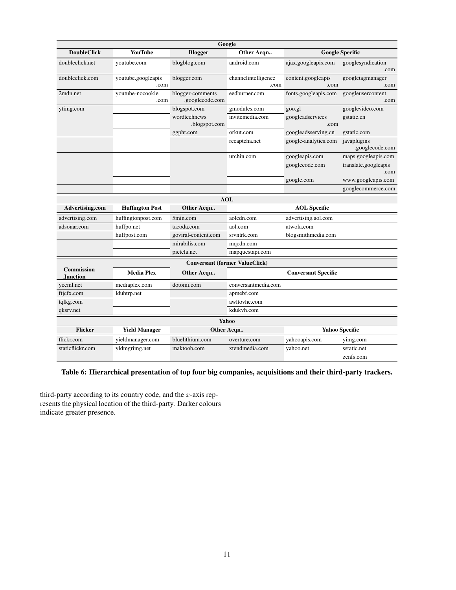| Google                                |                            |                                     |                             |                            |                                |  |  |
|---------------------------------------|----------------------------|-------------------------------------|-----------------------------|----------------------------|--------------------------------|--|--|
| <b>DoubleClick</b>                    | <b>YouTube</b>             | <b>Blogger</b>                      | Other Acqn                  | <b>Google Specific</b>     |                                |  |  |
| doubleclick.net                       | youtube.com                | blogblog.com                        | android.com                 | ajax.googleapis.com        | googlesyndication<br>.com      |  |  |
| doubleclick.com                       | youtube.googleapis<br>.com | blogger.com                         | channelintelligence<br>.com | content.googleapis<br>.com | googletagmanager<br>.com       |  |  |
| 2mdn.net                              | voutube-nocookie<br>.com   | blogger-comments<br>.googlecode.com | eedburner.com               | fonts.googleapis.com       | googleusercontent<br>.com      |  |  |
| ytimg.com                             |                            | blogspot.com                        | gmodules.com                | goo.gl                     | googlevideo.com                |  |  |
|                                       |                            | wordtechnews<br>.blogspot.com       | invitemedia.com             | googleadservices<br>.com   | gstatic.cn                     |  |  |
|                                       |                            | ggpht.com                           | orkut.com                   | googleadsserving.cn        | gstatic.com                    |  |  |
|                                       |                            |                                     | recaptcha.net               | google-analytics.com       | javaplugins<br>.googlecode.com |  |  |
|                                       |                            |                                     | urchin.com                  | googleapis.com             | maps.googleapis.com            |  |  |
|                                       |                            |                                     |                             | googlecode.com             | translate.googleapis<br>.com   |  |  |
|                                       |                            |                                     |                             | google.com                 | www.googleapis.com             |  |  |
|                                       |                            |                                     |                             |                            | googlecommerce.com             |  |  |
|                                       |                            |                                     | <b>AOL</b>                  |                            |                                |  |  |
| Advertising.com                       | <b>Huffington Post</b>     | Other Acqn                          |                             | <b>AOL</b> Specific        |                                |  |  |
| advertising.com                       | huffingtonpost.com         | 5min.com                            | aolcdn.com                  | advertising.aol.com        |                                |  |  |
| adsonar.com                           | huffpo.net                 | tacoda.com                          | aol.com                     | atwola.com                 |                                |  |  |
|                                       | huffpost.com               | goviral-content.com                 | srvntrk.com                 | blogsmithmedia.com         |                                |  |  |
|                                       |                            | mirabilis.com                       | mqcdn.com                   |                            |                                |  |  |
|                                       |                            | pictela.net                         | mapquestapi.com             |                            |                                |  |  |
| <b>Conversant (former ValueClick)</b> |                            |                                     |                             |                            |                                |  |  |
| <b>Commission</b><br><b>Junction</b>  | <b>Media Plex</b>          | Other Acqn                          |                             | <b>Conversant Specific</b> |                                |  |  |
| yceml.net                             | mediaplex.com              | dotomi.com                          | conversantmedia.com         |                            |                                |  |  |
| ftjcfx.com                            | lduhtrp.net                |                                     | apmebf.com                  |                            |                                |  |  |
| tqlkg.com                             |                            |                                     | awltovhc.com                |                            |                                |  |  |
| qksrv.net                             |                            |                                     | kdukvh.com                  |                            |                                |  |  |
|                                       |                            |                                     | Yahoo                       |                            |                                |  |  |
| <b>Flicker</b>                        | <b>Yield Manager</b>       |                                     | Other Acqn                  |                            | <b>Yahoo Specific</b>          |  |  |
| flickr.com                            | yieldmanager.com           | bluelithium.com                     | overture.com                | yahooapis.com              | yimg.com                       |  |  |
| staticflickr.com                      | yldmgrimg.net              | maktoob.com                         | xtendmedia.com              | yahoo.net                  | sstatic.net                    |  |  |
|                                       |                            |                                     |                             |                            | zenfs.com                      |  |  |

Table 6: Hierarchical presentation of top four big companies, acquisitions and their third-party trackers.

third-party according to its country code, and the  $x$ -axis represents the physical location of the third-party. Darker colours indicate greater presence.